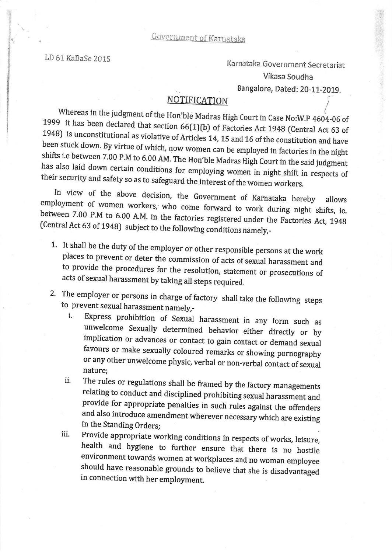LD 61 KaBaSe 2015 Karnataka Government Secretariat Vikasa Soudha

Bangalore, Dated: 20-11-2019.

## NOTIFICATION

Whereas in the judgment of the Hon'ble Madras High Court in Case No:W.P  $4604-06$  of 1999 it has been declared that section  $66(1)(b)$  of Factories Act 1948 (Central Act 63 of 1948) is unconstitutional as violative of Arti

their security and safety so as to safeguard the interest of the women workers.<br>In view of the above decision, the Government of Karnataka hereby allows<br>employment of women workers, who come forward to work during night sh

- 1. It shall be the duty of the employer or other responsible persons at the work<br>places to prevent or deter the commission of acts of sexual harassment and<br>to provide the procedures for the resolution, statement or prosecu
- 
- 2. The employer or persons in charge of factory shall take the following steps<br>to prevent sexual harassment namely,-<br>i. Express prohibition of Sexual harassment in any form such as<br>unwelcome Sexually determined behavior ei favours or make sexually coloured remarks or showing pornography<br>or any other unwelcome physic, verbal or non-verbal contact of sexual nature;
	- ii. The rules or regulations shall be framed by the factory managements<br>relating to conduct and disciplined prohibiting sexual harassment and provide for appropriate penalties in such rules against the offenders and also introduce amendment wherever necessary which are existing in the Standing Orders;
	- iii. Provide appropriate working conditions in respects of works, leisure, health and hygiene to further ensure that there is no hostile environment towards women at workplaces and no woman employee should have reasonable grounds to believe that she is disadvantaged in connection with her employment.